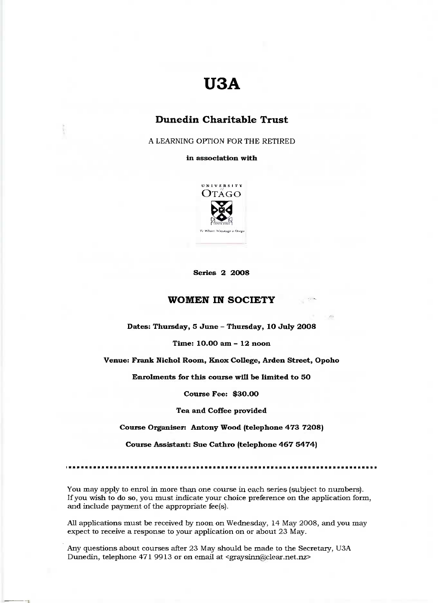# **USA**

## **Dunedin Charitable Trust**

A LEARNING OPTION FOR THE RETIRED

**in association with**



**Series 2 2OO8**

## **WOMEN IN SOCIETY**

**Dates: Thursday, 5 June - Thursday, 1O July 20O8**

**Time: 10.00 am - 12 noon**

**Venue: Prank Nichol Room, Knox College, Arden Street, Opoho**

**Enrolments for this course will be limited to 50**

**Course Fee: \$3O.OO**

**Tea and Coffee provided**

**Course Organiser: Antony Wood (telephone 473 72O8)**

**Course Assistant: Sue Cathro (telephone 467 5474)**

You may apply to enrol in more than one course in each series (subject to numbers). If you wish to do so, you must indicate your choice preference on the application form, and include payment of the appropriate fee(s).

All applications must be received by noon on Wednesday, 14 May 2008, and you may expect to receive a response to your application on or about 23 May.

Any questions about courses after 23 May should be made to the Secretary, U3A Dunedin, telephone 471 9913 or on email at <graysinn@clear.net.nz>